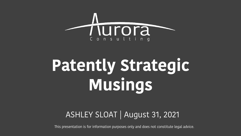

# **Patently Strategic Musings**

#### ASHLEY SLOAT | August 31, 2021

This presentation is for information purposes only and does not constitute legal advice.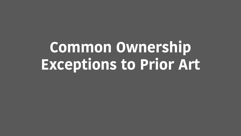# **Common Ownership Exceptions to Prior Art**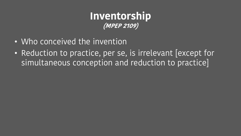#### **Inventorship (MPEP 2109)**

- Who conceived the invention
- Reduction to practice, per se, is irrelevant [except for simultaneous conception and reduction to practice]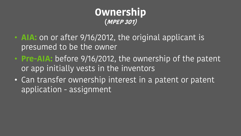#### **Ownership (MPEP 301)**

- **AIA:** on or after 9/16/2012, the original applicant is presumed to be the owner
- **Pre-AIA:** before 9/16/2012, the ownership of the patent or app initially vests in the inventors
- Can transfer ownership interest in a patent or patent application - assignment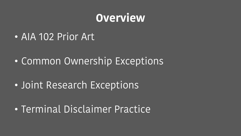## **Overview**

- AIA 102 Prior Art
- Common Ownership Exceptions
- Joint Research Exceptions
- Terminal Disclaimer Practice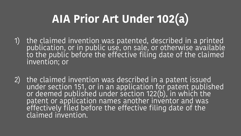## **AIA Prior Art Under 102(a)**

- 1) the claimed invention was patented, described in a printed publication, or in public use, on sale, or otherwise available to the public before the effective filing date of the claimed invention; or
- 2) the claimed invention was described in a patent issued under section 151, or in an application for patent published or deemed published under section 122(b), in which the patent or application names another inventor and was effectively filed before the effective filing date of the claimed invention.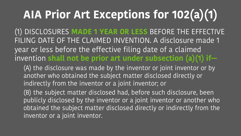# **AIA Prior Art Exceptions for 102(a)(1)**

(1) DISCLOSURES **MADE 1 YEAR OR LESS** BEFORE THE EFFECTIVE FILING DATE OF THE CLAIMED INVENTION. A disclosure made 1 year or less before the effective filing date of a claimed invention **shall not be prior art under subsection (a)(1) if—**

(A) the disclosure was made by the inventor or joint inventor or by another who obtained the subject matter disclosed directly or indirectly from the inventor or a joint inventor; or

(B) the subject matter disclosed had, before such disclosure, been publicly disclosed by the inventor or a joint inventor or another who obtained the subject matter disclosed directly or indirectly from the inventor or a joint inventor.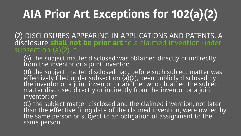# **AIA Prior Art Exceptions for 102(a)(2)**

(2) DISCLOSURES APPEARING IN APPLICATIONS AND PATENTS. A disclosure **shall not be prior art** to a claimed invention under subsection  $(a)(2)$  if-

(A) the subject matter disclosed was obtained directly or indirectly from the inventor or a joint inventor;

(B) the subject matter disclosed had, before such subject matter was effectively filed under subsection (a)(2), been publicly disclosed by the inventor or a joint inventor or another who obtained the subject matter disclosed directly or indirectly from the inventor or a joint inventor; or

(C) the subject matter disclosed and the claimed invention, not later than the effective filing date of the claimed invention, were owned by the same person or subject to an obligation of assignment to the same person.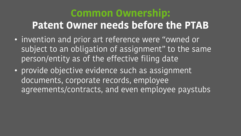## **Common Ownership: Patent Owner needs before the PTAB**

- invention and prior art reference were "owned or subject to an obligation of assignment" to the same person/entity as of the effective filing date
- provide objective evidence such as assignment documents, corporate records, employee agreements/contracts, and even employee paystubs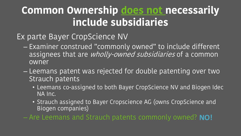## **Common Ownership does not necessarily include subsidiaries**

Ex parte Bayer CropScience NV

- Examiner construed "commonly owned" to include different assignees that are *wholly-owned subsidiaries* of a common owner
- Leemans patent was rejected for double patenting over two Strauch patents
	- Leemans co-assigned to both Bayer CropScience NV and Biogen Idec NA Inc.
	- Strauch assigned to Bayer Cropscience AG (owns CropScience and Biogen companies)

– Are Leemans and Strauch patents commonly owned? **NO!**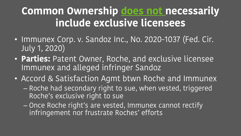## **Common Ownership does not necessarily include exclusive licensees**

- Immunex Corp. v. Sandoz Inc., No. 2020-1037 (Fed. Cir. July 1, 2020)
- **Parties:** Patent Owner, Roche, and exclusive licensee Immunex and alleged infringer Sandoz
- Accord & Satisfaction Agmt btwn Roche and Immunex – Roche had secondary right to sue, when vested, triggered Roche's exclusive right to sue
	- Once Roche right's are vested, Immunex cannot rectify infringement nor frustrate Roches' efforts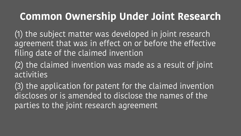### **Common Ownership Under Joint Research**

(1) the subject matter was developed in joint research agreement that was in effect on or before the effective filing date of the claimed invention

(2) the claimed invention was made as a result of joint activities

(3) the application for patent for the claimed invention discloses or is amended to disclose the names of the parties to the joint research agreement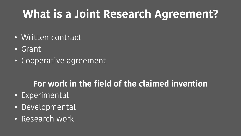## **What is a Joint Research Agreement?**

- Written contract
- Grant
- Cooperative agreement

#### **For work in the field of the claimed invention**

- Experimental
- Developmental
- Research work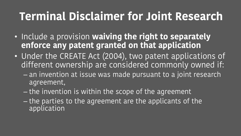## **Terminal Disclaimer for Joint Research**

- Include a provision **waiving the right to separately enforce any patent granted on that application**
- Under the CREATE Act (2004), two patent applications of different ownership are considered commonly owned if:
	- an invention at issue was made pursuant to a joint research agreement,
	- the invention is within the scope of the agreement
	- the parties to the agreement are the applicants of the application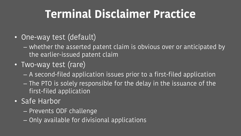## **Terminal Disclaimer Practice**

- One-way test (default)
	- whether the asserted patent claim is obvious over or anticipated by the earlier-issued patent claim
- Two-way test (rare)
	- A second-filed application issues prior to a first-filed application
	- The PTO is solely responsible for the delay in the issuance of the first-filed application
- Safe Harbor
	- Prevents ODF challenge
	- Only available for divisional applications